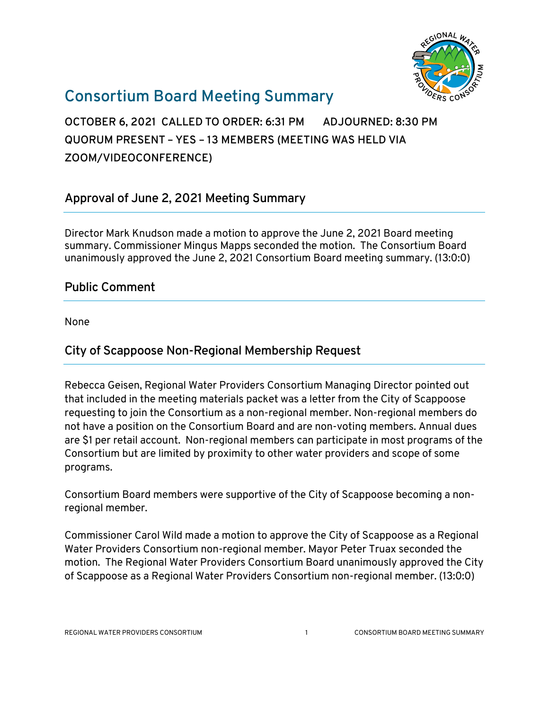

# **Consortium Board Meeting Summary**

**OCTOBER 6, 2021 CALLED TO ORDER: 6:31 PM ADJOURNED: 8:30 PM QUORUM PRESENT – YES – 13 MEMBERS (MEETING WAS HELD VIA ZOOM/VIDEOCONFERENCE)**

## **Approval of June 2, 2021 Meeting Summary**

Director Mark Knudson made a motion to approve the June 2, 2021 Board meeting summary. Commissioner Mingus Mapps seconded the motion. The Consortium Board unanimously approved the June 2, 2021 Consortium Board meeting summary. (13:0:0)

## **Public Comment**

None

## **City of Scappoose Non-Regional Membership Request**

Rebecca Geisen, Regional Water Providers Consortium Managing Director pointed out that included in the meeting materials packet was a letter from the City of Scappoose requesting to join the Consortium as a non-regional member. Non-regional members do not have a position on the Consortium Board and are non-voting members. Annual dues are \$1 per retail account. Non-regional members can participate in most programs of the Consortium but are limited by proximity to other water providers and scope of some programs.

Consortium Board members were supportive of the City of Scappoose becoming a nonregional member.

Commissioner Carol Wild made a motion to approve the City of Scappoose as a Regional Water Providers Consortium non-regional member. Mayor Peter Truax seconded the motion. The Regional Water Providers Consortium Board unanimously approved the City of Scappoose as a Regional Water Providers Consortium non-regional member. (13:0:0)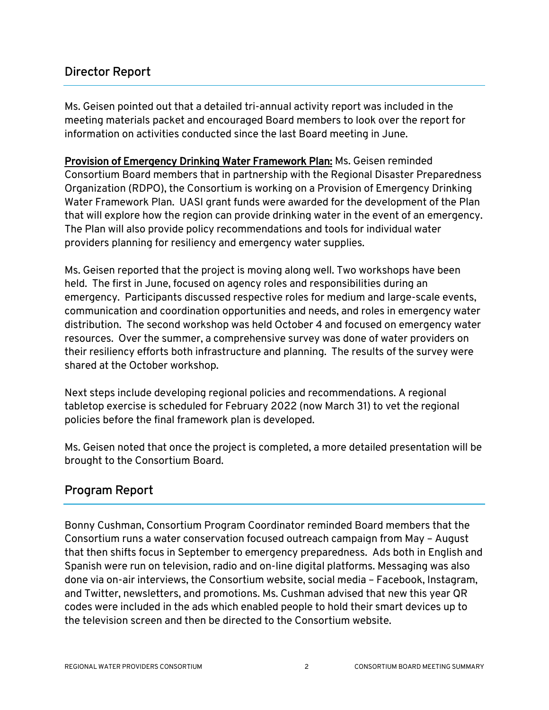## **Director Report**

Ms. Geisen pointed out that a detailed tri-annual activity report was included in the meeting materials packet and encouraged Board members to look over the report for information on activities conducted since the last Board meeting in June.

Provision of Emergency Drinking Water Framework Plan: Ms. Geisen reminded Consortium Board members that in partnership with the Regional Disaster Preparedness Organization (RDPO), the Consortium is working on a [Provision of Emergency Drinking](https://static1.squarespace.com/static/5b4ce7dd1aef1d3d04b17323/t/608989187beef544324fd5ff/1619626266032/Provision+of+Emergency+Drinking+Water+Framework+Project.pdf)  [Water Framework Plan.](https://static1.squarespace.com/static/5b4ce7dd1aef1d3d04b17323/t/608989187beef544324fd5ff/1619626266032/Provision+of+Emergency+Drinking+Water+Framework+Project.pdf) UASI grant funds were awarded for the development of the Plan that will explore how the region can provide drinking water in the event of an emergency. The Plan will also provide policy recommendations and tools for individual water providers planning for resiliency and emergency water supplies.

Ms. Geisen reported that the project is moving along well. Two workshops have been held. The first in June, focused on agency roles and responsibilities during an emergency. Participants discussed respective roles for medium and large-scale events, communication and coordination opportunities and needs, and roles in emergency water distribution. The second workshop was held October 4 and focused on emergency water resources. Over the summer, a comprehensive survey was done of water providers on their resiliency efforts both infrastructure and planning. The results of the survey were shared at the October workshop.

Next steps include developing regional policies and recommendations. A regional tabletop exercise is scheduled for February 2022 (now March 31) to vet the regional policies before the final framework plan is developed.

Ms. Geisen noted that once the project is completed, a more detailed presentation will be brought to the Consortium Board.

## **Program Report**

Bonny Cushman, Consortium Program Coordinator reminded Board members that the Consortium runs a water conservation focused outreach campaign from May – August that then shifts focus in September to emergency preparedness. Ads both in English and Spanish were run on television, radio and on-line digital platforms. Messaging was also done via on-air interviews, the Consortium website, social media – Facebook, Instagram, and Twitter, newsletters, and promotions. Ms. Cushman advised that new this year QR codes were included in the ads which enabled people to hold their smart devices up to the television screen and then be directed to the Consortium website.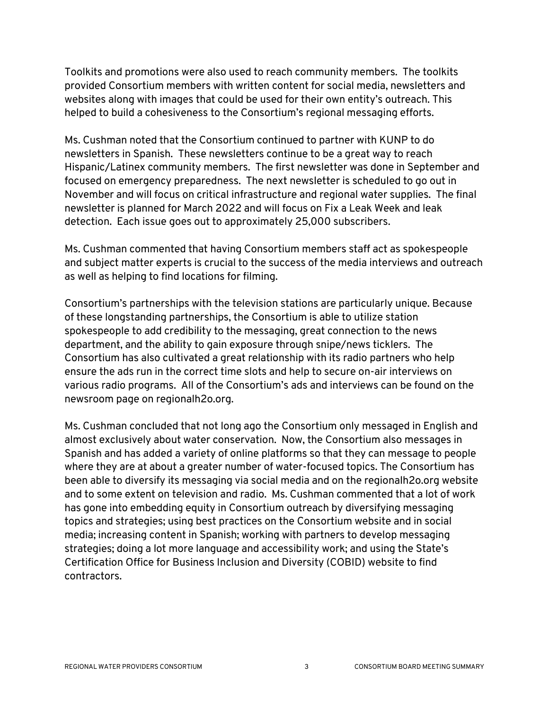Toolkits and promotions were also used to reach community members. The toolkits provided Consortium members with written content for social media, newsletters and websites along with images that could be used for their own entity's outreach. This helped to build a cohesiveness to the Consortium's regional messaging efforts.

Ms. Cushman noted that the Consortium continued to partner with KUNP to do newsletters in Spanish. These newsletters continue to be a great way to reach Hispanic/Latinex community members. The first newsletter was done in September and focused on emergency preparedness. The next newsletter is scheduled to go out in November and will focus on critical infrastructure and regional water supplies. The final newsletter is planned for March 2022 and will focus on Fix a Leak Week and leak detection. Each issue goes out to approximately 25,000 subscribers.

Ms. Cushman commented that having Consortium members staff act as spokespeople and subject matter experts is crucial to the success of the media interviews and outreach as well as helping to find locations for filming.

Consortium's partnerships with the television stations are particularly unique. Because of these longstanding partnerships, the Consortium is able to utilize station spokespeople to add credibility to the messaging, great connection to the news department, and the ability to gain exposure through snipe/news ticklers. The Consortium has also cultivated a great relationship with its radio partners who help ensure the ads run in the correct time slots and help to secure on-air interviews on various radio programs. All of the Consortium's ads and interviews can be found on the newsroom page on regionalh2o.org.

Ms. Cushman concluded that not long ago the Consortium only messaged in English and almost exclusively about water conservation. Now, the Consortium also messages in Spanish and has added a variety of online platforms so that they can message to people where they are at about a greater number of water-focused topics. The Consortium has been able to diversify its messaging via social media and on the regionalh2o.org website and to some extent on television and radio. Ms. Cushman commented that a lot of work has gone into embedding equity in Consortium outreach by diversifying messaging topics and strategies; using best practices on the Consortium website and in social media; increasing content in Spanish; working with partners to develop messaging strategies; doing a lot more language and accessibility work; and using the State's Certification Office for Business Inclusion and Diversity (COBID) website to find contractors.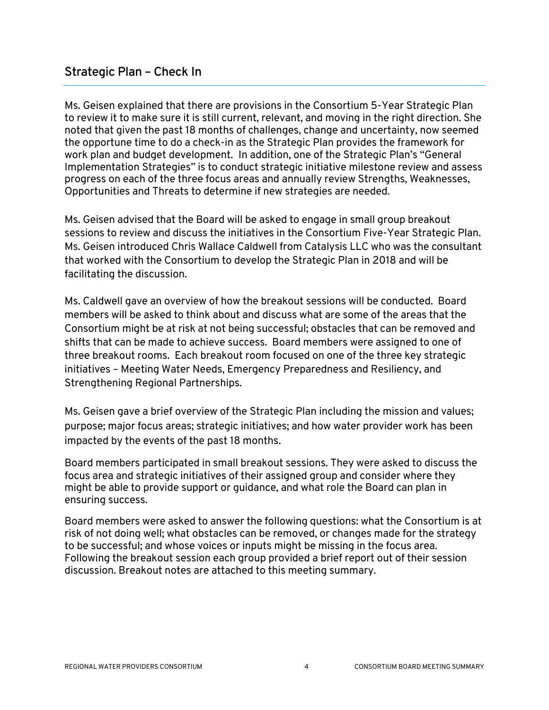Ms. Geisen explained that there are provisions in the Consortium 5-Year Strategic Plan to review it to make sure it is still current, relevant, and moving in the right direction. She noted that given the past 18 months of challenges, change and uncertainty, now seemed the opportune time to do a check-in as the Strategic Plan provides the framework for work plan and budget development. In addition, one of the Strategic Plan's "General Implementation Strategies" is to conduct strategic initiative milestone review and assess progress on each of the three focus areas and annually review Strengths, Weaknesses, Opportunities and Threats to determine if new strategies are needed.

Ms. Geisen advised that the Board will be asked to engage in small group breakout sessions to review and discuss the initiatives in the Consortium Five-Year Strategic Plan. Ms. Geisen introduced Chris Wallace Caldwell from Catalysis LLC who was the consultant that worked with the Consortium to develop the Strategic Plan in 2018 and will be facilitating the discussion.

Ms. Caldwell gave an overview of how the breakout sessions will be conducted. Board members will be asked to think about and discuss what are some of the areas that the Consortium might be at risk at not being successful; obstacles that can be removed and shifts that can be made to achieve success. Board members were assigned to one of three breakout rooms. Each breakout room focused on one of the three key strategic initiatives – Meeting Water Needs, Emergency Preparedness and Resiliency, and Strengthening Regional Partnerships.

Ms. Geisen gave a brief overview of the Strategic Plan including the mission and values; purpose; major focus areas; strategic initiatives; and how water provider work has been impacted by the events of the past 18 months.

Board members participated in small breakout sessions. They were asked to discuss the focus area and strategic initiatives of their assigned group and consider where they might be able to provide support or guidance, and what role the Board can plan in ensuring success.

Board members were asked to answer the following questions: what the Consortium is at risk of not doing well; what obstacles can be removed, or changes made for the strategy to be successful; and whose voices or inputs might be missing in the focus area. Following the breakout session each group provided a brief report out of their session discussion. Breakout notes are attached to this meeting summary.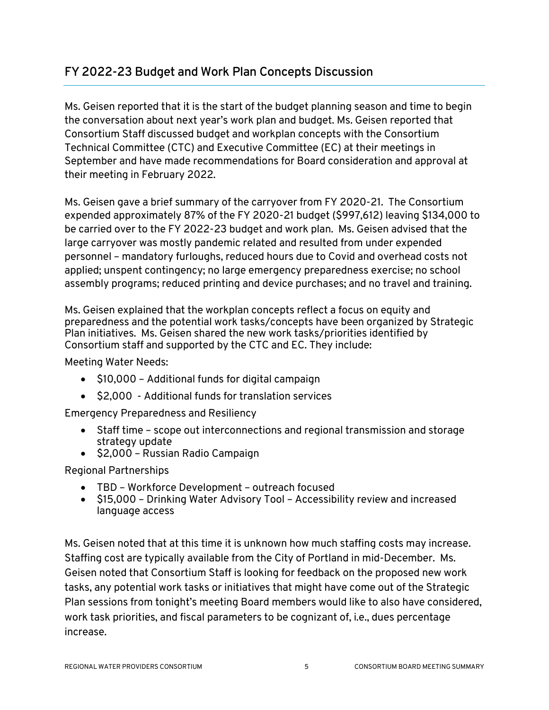## **FY 2022-23 Budget and Work Plan Concepts Discussion**

Ms. Geisen reported that it is the start of the budget planning season and time to begin the conversation about next year's work plan and budget. Ms. Geisen reported that Consortium Staff discussed budget and workplan concepts with the Consortium Technical Committee (CTC) and Executive Committee (EC) at their meetings in September and have made recommendations for Board consideration and approval at their meeting in February 2022.

Ms. Geisen gave a brief summary of the carryover from FY 2020-21. The Consortium expended approximately 87% of the FY 2020-21 budget (\$997,612) leaving \$134,000 to be carried over to the FY 2022-23 budget and work plan. Ms. Geisen advised that the large carryover was mostly pandemic related and resulted from under expended personnel – mandatory furloughs, reduced hours due to Covid and overhead costs not applied; unspent contingency; no large emergency preparedness exercise; no school assembly programs; reduced printing and device purchases; and no travel and training.

Ms. Geisen explained that the workplan concepts reflect a focus on equity and preparedness and the potential work tasks/concepts have been organized by Strategic Plan initiatives. Ms. Geisen shared the new work tasks/priorities identified by Consortium staff and supported by the CTC and EC. They include:

Meeting Water Needs:

- \$10,000 Additional funds for digital campaign
- \$2,000 Additional funds for translation services

Emergency Preparedness and Resiliency

- Staff time scope out interconnections and regional transmission and storage strategy update
- \$2,000 Russian Radio Campaign

Regional Partnerships

- TBD Workforce Development outreach focused
- \$15,000 Drinking Water Advisory Tool Accessibility review and increased language access

Ms. Geisen noted that at this time it is unknown how much staffing costs may increase. Staffing cost are typically available from the City of Portland in mid-December. Ms. Geisen noted that Consortium Staff is looking for feedback on the proposed new work tasks, any potential work tasks or initiatives that might have come out of the Strategic Plan sessions from tonight's meeting Board members would like to also have considered, work task priorities, and fiscal parameters to be cognizant of, i.e., dues percentage increase.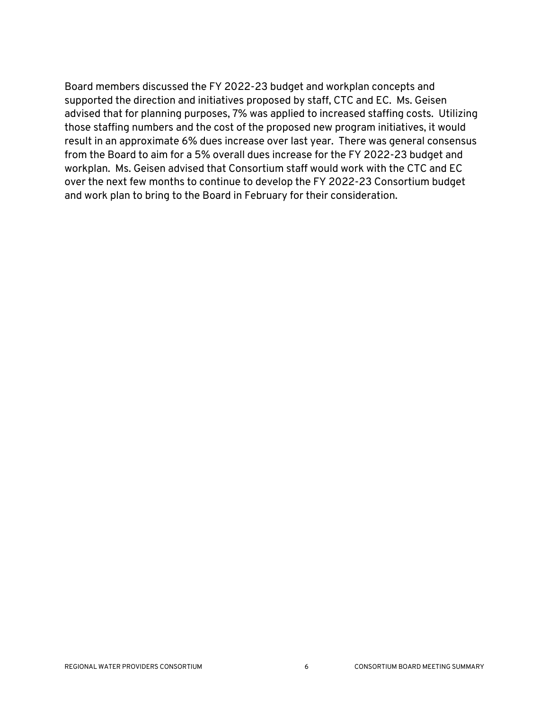Board members discussed the FY 2022-23 budget and workplan concepts and supported the direction and initiatives proposed by staff, CTC and EC. Ms. Geisen advised that for planning purposes, 7% was applied to increased staffing costs. Utilizing those staffing numbers and the cost of the proposed new program initiatives, it would result in an approximate 6% dues increase over last year. There was general consensus from the Board to aim for a 5% overall dues increase for the FY 2022-23 budget and workplan. Ms. Geisen advised that Consortium staff would work with the CTC and EC over the next few months to continue to develop the FY 2022-23 Consortium budget and work plan to bring to the Board in February for their consideration.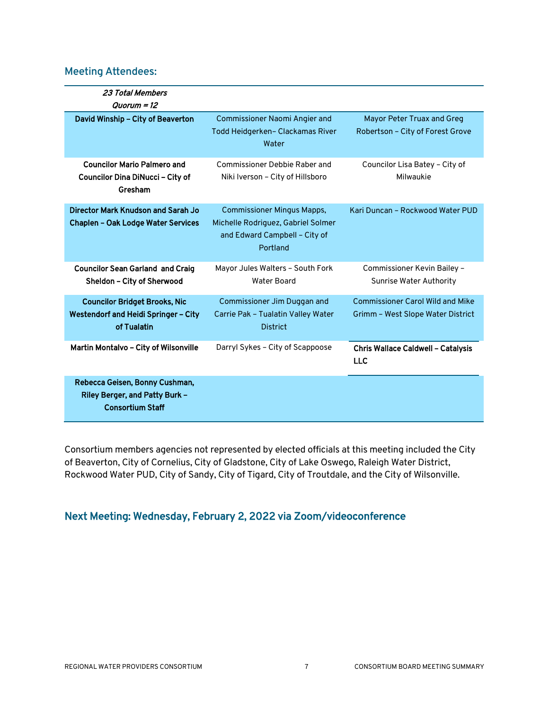## **Meeting Attendees:**

| 23 Total Members<br>Quorum = 12                                                             |                                                                                                                      |                                                                              |
|---------------------------------------------------------------------------------------------|----------------------------------------------------------------------------------------------------------------------|------------------------------------------------------------------------------|
| David Winship - City of Beaverton                                                           | <b>Commissioner Naomi Angier and</b><br>Todd Heidgerken- Clackamas River<br>Water                                    | Mayor Peter Truax and Greg<br>Robertson - City of Forest Grove               |
| <b>Councilor Mario Palmero and</b><br>Councilor Dina DiNucci - City of<br>Gresham           | <b>Commissioner Debbie Raber and</b><br>Niki Iverson - City of Hillsboro                                             | Councilor Lisa Batey - City of<br>Milwaukie                                  |
| Director Mark Knudson and Sarah Jo<br><b>Chaplen - Oak Lodge Water Services</b>             | <b>Commissioner Mingus Mapps,</b><br>Michelle Rodriguez, Gabriel Solmer<br>and Edward Campbell - City of<br>Portland | Kari Duncan - Rockwood Water PUD                                             |
| <b>Councilor Sean Garland and Craig</b><br>Sheldon - City of Sherwood                       | Mayor Jules Walters - South Fork<br><b>Water Board</b>                                                               | Commissioner Kevin Bailey -<br><b>Sunrise Water Authority</b>                |
| <b>Councilor Bridget Brooks, Nic</b><br>Westendorf and Heidi Springer - City<br>of Tualatin | Commissioner Jim Duggan and<br>Carrie Pak - Tualatin Valley Water<br><b>District</b>                                 | <b>Commissioner Carol Wild and Mike</b><br>Grimm - West Slope Water District |
| Martin Montalvo - City of Wilsonville                                                       | Darryl Sykes - City of Scappoose                                                                                     | <b>Chris Wallace Caldwell - Catalysis</b><br><b>LLC</b>                      |
| Rebecca Geisen, Bonny Cushman,<br>Riley Berger, and Patty Burk -<br><b>Consortium Staff</b> |                                                                                                                      |                                                                              |

Consortium members agencies not represented by elected officials at this meeting included the City of Beaverton, City of Cornelius, City of Gladstone, City of Lake Oswego, Raleigh Water District, Rockwood Water PUD, City of Sandy, City of Tigard, City of Troutdale, and the City of Wilsonville.

## Next Meeting: Wednesday, February 2, 2022 via Zoom/videoconference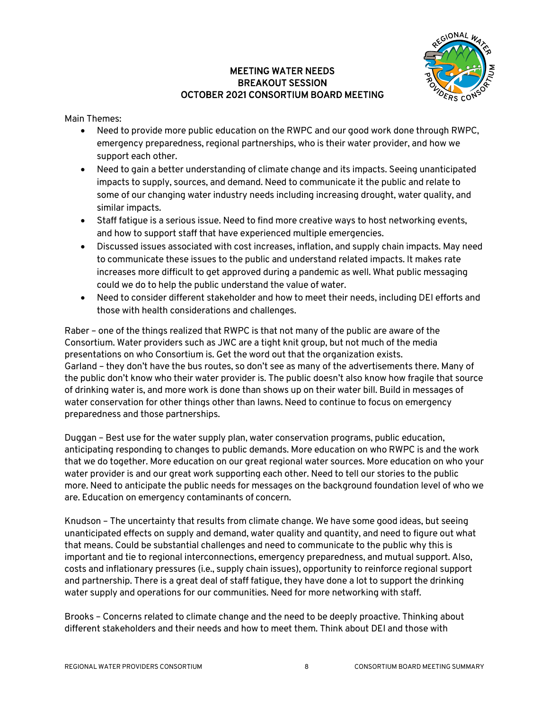### MEETING WATER NEEDS BREAKOUT SESSION OCTOBER 2021 CONSORTIUM BOARD MEETING



Main Themes:

- Need to provide more public education on the RWPC and our good work done through RWPC, emergency preparedness, regional partnerships, who is their water provider, and how we support each other.
- Need to gain a better understanding of climate change and its impacts. Seeing unanticipated impacts to supply, sources, and demand. Need to communicate it the public and relate to some of our changing water industry needs including increasing drought, water quality, and similar impacts.
- Staff fatigue is a serious issue. Need to find more creative ways to host networking events, and how to support staff that have experienced multiple emergencies.
- Discussed issues associated with cost increases, inflation, and supply chain impacts. May need to communicate these issues to the public and understand related impacts. It makes rate increases more difficult to get approved during a pandemic as well. What public messaging could we do to help the public understand the value of water.
- Need to consider different stakeholder and how to meet their needs, including DEI efforts and those with health considerations and challenges.

Raber – one of the things realized that RWPC is that not many of the public are aware of the Consortium. Water providers such as JWC are a tight knit group, but not much of the media presentations on who Consortium is. Get the word out that the organization exists. Garland – they don't have the bus routes, so don't see as many of the advertisements there. Many of the public don't know who their water provider is. The public doesn't also know how fragile that source of drinking water is, and more work is done than shows up on their water bill. Build in messages of water conservation for other things other than lawns. Need to continue to focus on emergency preparedness and those partnerships.

Duggan – Best use for the water supply plan, water conservation programs, public education, anticipating responding to changes to public demands. More education on who RWPC is and the work that we do together. More education on our great regional water sources. More education on who your water provider is and our great work supporting each other. Need to tell our stories to the public more. Need to anticipate the public needs for messages on the background foundation level of who we are. Education on emergency contaminants of concern.

Knudson – The uncertainty that results from climate change. We have some good ideas, but seeing unanticipated effects on supply and demand, water quality and quantity, and need to figure out what that means. Could be substantial challenges and need to communicate to the public why this is important and tie to regional interconnections, emergency preparedness, and mutual support. Also, costs and inflationary pressures (i.e., supply chain issues), opportunity to reinforce regional support and partnership. There is a great deal of staff fatigue, they have done a lot to support the drinking water supply and operations for our communities. Need for more networking with staff.

Brooks – Concerns related to climate change and the need to be deeply proactive. Thinking about different stakeholders and their needs and how to meet them. Think about DEI and those with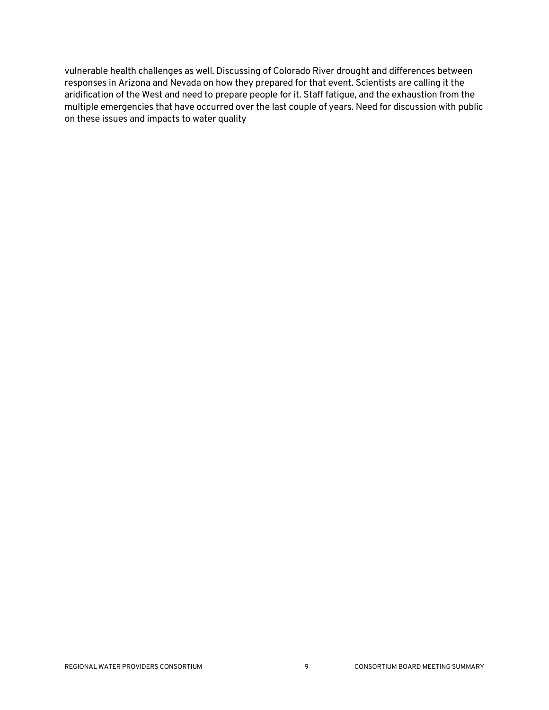vulnerable health challenges as well. Discussing of Colorado River drought and differences between responses in Arizona and Nevada on how they prepared for that event. Scientists are calling it the aridification of the West and need to prepare people for it. Staff fatigue, and the exhaustion from the multiple emergencies that have occurred over the last couple of years. Need for discussion with public on these issues and impacts to water quality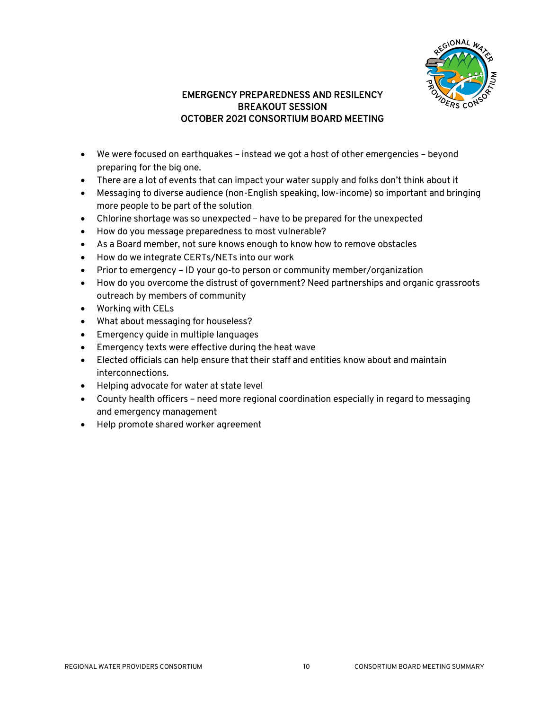

### EMERGENCY PREPAREDNESS AND RESILENCY BREAKOUT SESSION OCTOBER 2021 CONSORTIUM BOARD MEETING

- We were focused on earthquakes instead we got a host of other emergencies beyond preparing for the big one.
- There are a lot of events that can impact your water supply and folks don't think about it
- Messaging to diverse audience (non-English speaking, low-income) so important and bringing more people to be part of the solution
- Chlorine shortage was so unexpected have to be prepared for the unexpected
- How do you message preparedness to most vulnerable?
- As a Board member, not sure knows enough to know how to remove obstacles
- How do we integrate CERTs/NETs into our work
- Prior to emergency ID your go-to person or community member/organization
- How do you overcome the distrust of government? Need partnerships and organic grassroots outreach by members of community
- Working with CELs
- What about messaging for houseless?
- Emergency guide in multiple languages
- Emergency texts were effective during the heat wave
- Elected officials can help ensure that their staff and entities know about and maintain interconnections.
- Helping advocate for water at state level
- County health officers need more regional coordination especially in regard to messaging and emergency management
- Help promote shared worker agreement